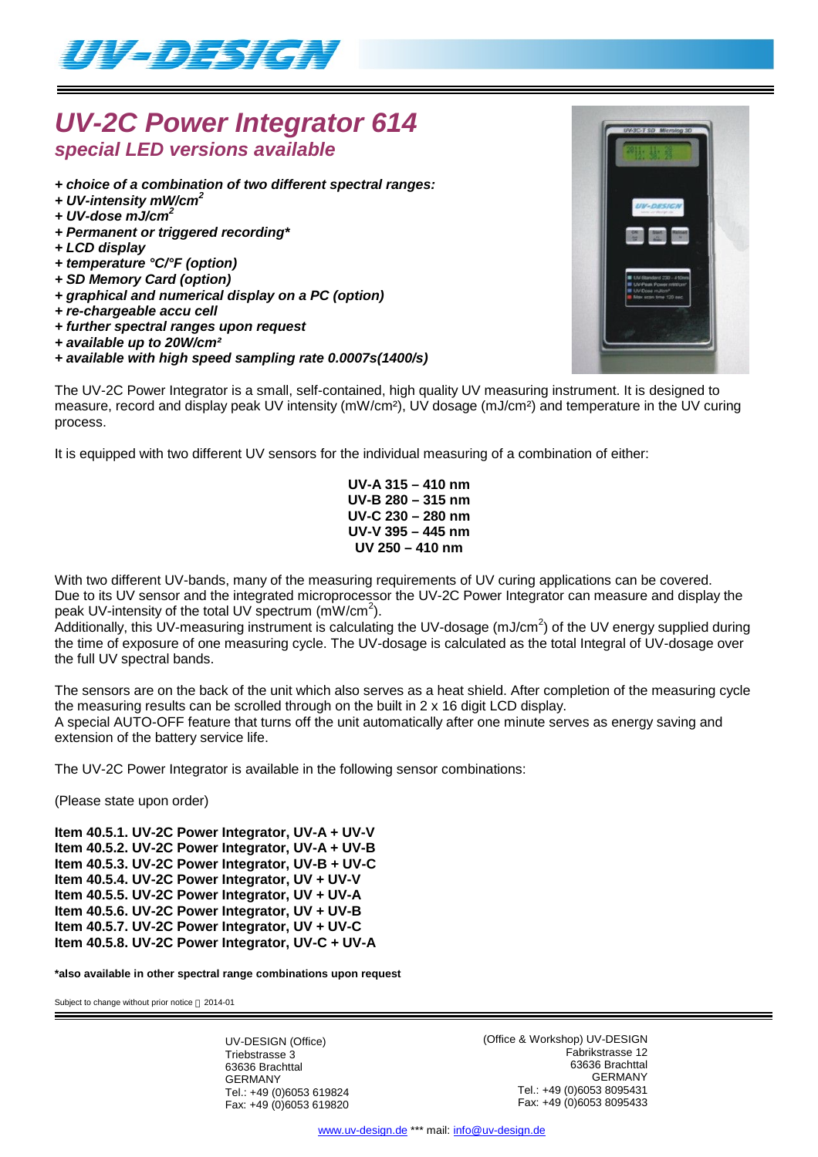

## *UV-2C Power Integrator 614 special LED versions available*

- *+ choice of a combination of two different spectral ranges:*
- *+ UV-intensity mW/cm<sup>2</sup>*
- *+ UV-dose mJ/cm<sup>2</sup>*
- *+ Permanent or triggered recording\**
- *+ LCD display*
- *+ temperature °C/°F (option)*
- *+ SD Memory Card (option)*
- *+ graphical and numerical display on a PC (option)*
- *+ re-chargeable accu cell*
- *+ further spectral ranges upon request*
- *+ available up to 20W/cm²*
- *+ available with high speed sampling rate 0.0007s(1400/s)*

The UV-2C Power Integrator is a small, self-contained, high quality UV measuring instrument. It is designed to measure, record and display peak UV intensity (mW/cm<sup>2</sup>), UV dosage (mJ/cm<sup>2</sup>) and temperature in the UV curing process.

It is equipped with two different UV sensors for the individual measuring of a combination of either:

**UV-A 315 – 410 nm UV-B 280 – 315 nm UV-C 230 – 280 nm UV-V 395 – 445 nm UV 250 – 410 nm**

With two different UV-bands, many of the measuring requirements of UV curing applications can be covered. Due to its UV sensor and the integrated microprocessor the UV-2C Power Integrator can measure and display the peak UV-intensity of the total UV spectrum  $(mW/cm<sup>2</sup>)$ .

Additionally, this UV-measuring instrument is calculating the UV-dosage (mJ/cm<sup>2</sup>) of the UV energy supplied during the time of exposure of one measuring cycle. The UV-dosage is calculated as the total Integral of UV-dosage over the full UV spectral bands.

The sensors are on the back of the unit which also serves as a heat shield. After completion of the measuring cycle the measuring results can be scrolled through on the built in 2 x 16 digit LCD display. A special AUTO-OFF feature that turns off the unit automatically after one minute serves as energy saving and extension of the battery service life.

The UV-2C Power Integrator is available in the following sensor combinations:

(Please state upon order)

**Item 40.5.1. UV-2C Power Integrator, UV-A + UV-V Item 40.5.2. UV-2C Power Integrator, UV-A + UV-B Item 40.5.3. UV-2C Power Integrator, UV-B + UV-C Item 40.5.4. UV-2C Power Integrator, UV + UV-V Item 40.5.5. UV-2C Power Integrator, UV + UV-A Item 40.5.6. UV-2C Power Integrator, UV + UV-B Item 40.5.7. UV-2C Power Integrator, UV + UV-C Item 40.5.8. UV-2C Power Integrator, UV-C + UV-A**

**\*also available in other spectral range combinations upon request**

Subject to change without prior notice  $@$  2014-01

UV-DESIGN (Office) Triebstrasse 3 63636 Brachttal GERMANY Tel.: +49 (0)6053 619824 Fax: +49 (0)6053 619820 (Office & Workshop) UV-DESIGN Fabrikstrasse 12 63636 Brachttal GERMANY Tel.: +49 (0)6053 8095431 Fax: +49 (0)6053 8095433